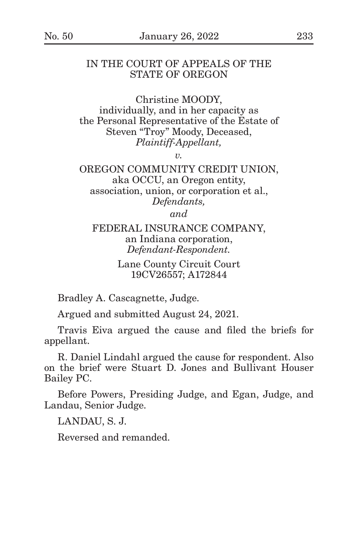# IN THE COURT OF APPEALS OF THE STATE OF OREGON

Christine MOODY, individually, and in her capacity as the Personal Representative of the Estate of Steven "Troy" Moody, Deceased, *Plaintiff-Appellant,*

*v.*

OREGON COMMUNITY CREDIT UNION, aka OCCU, an Oregon entity, association, union, or corporation et al., *Defendants,*

*and*

## FEDERAL INSURANCE COMPANY, an Indiana corporation, *Defendant-Respondent.*

# Lane County Circuit Court 19CV26557; A172844

Bradley A. Cascagnette, Judge.

Argued and submitted August 24, 2021.

Travis Eiva argued the cause and filed the briefs for appellant.

R. Daniel Lindahl argued the cause for respondent. Also on the brief were Stuart D. Jones and Bullivant Houser Bailey PC.

Before Powers, Presiding Judge, and Egan, Judge, and Landau, Senior Judge.

LANDAU, S. J.

Reversed and remanded.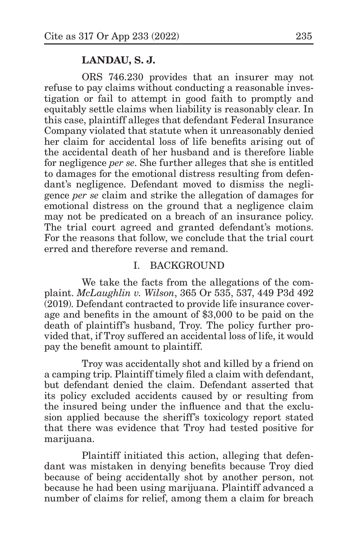#### **LANDAU, S. J.**

ORS 746.230 provides that an insurer may not refuse to pay claims without conducting a reasonable investigation or fail to attempt in good faith to promptly and equitably settle claims when liability is reasonably clear. In this case, plaintiff alleges that defendant Federal Insurance Company violated that statute when it unreasonably denied her claim for accidental loss of life benefits arising out of the accidental death of her husband and is therefore liable for negligence *per se*. She further alleges that she is entitled to damages for the emotional distress resulting from defendant's negligence. Defendant moved to dismiss the negligence *per se* claim and strike the allegation of damages for emotional distress on the ground that a negligence claim may not be predicated on a breach of an insurance policy. The trial court agreed and granted defendant's motions. For the reasons that follow, we conclude that the trial court erred and therefore reverse and remand.

## I. BACKGROUND

We take the facts from the allegations of the complaint. *McLaughlin v. Wilson*, 365 Or 535, 537, 449 P3d 492 (2019). Defendant contracted to provide life insurance coverage and benefits in the amount of \$3,000 to be paid on the death of plaintiff's husband, Troy. The policy further provided that, if Troy suffered an accidental loss of life, it would pay the benefit amount to plaintiff.

Troy was accidentally shot and killed by a friend on a camping trip. Plaintiff timely filed a claim with defendant, but defendant denied the claim. Defendant asserted that its policy excluded accidents caused by or resulting from the insured being under the influence and that the exclusion applied because the sheriff's toxicology report stated that there was evidence that Troy had tested positive for marijuana.

Plaintiff initiated this action, alleging that defendant was mistaken in denying benefits because Troy died because of being accidentally shot by another person, not because he had been using marijuana. Plaintiff advanced a number of claims for relief, among them a claim for breach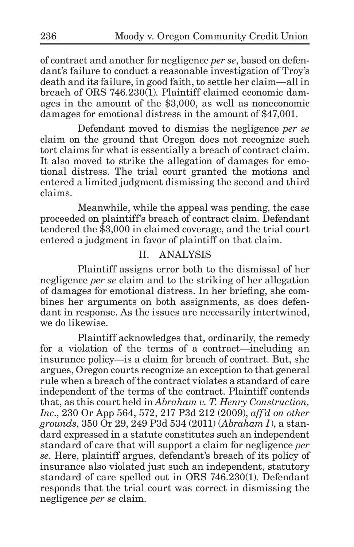of contract and another for negligence *per se*, based on defendant's failure to conduct a reasonable investigation of Troy's death and its failure, in good faith, to settle her claim—all in breach of ORS 746.230(1). Plaintiff claimed economic damages in the amount of the \$3,000, as well as noneconomic damages for emotional distress in the amount of \$47,001.

Defendant moved to dismiss the negligence *per se* claim on the ground that Oregon does not recognize such tort claims for what is essentially a breach of contract claim. It also moved to strike the allegation of damages for emotional distress. The trial court granted the motions and entered a limited judgment dismissing the second and third claims.

Meanwhile, while the appeal was pending, the case proceeded on plaintiff's breach of contract claim. Defendant tendered the \$3,000 in claimed coverage, and the trial court entered a judgment in favor of plaintiff on that claim.

# II. ANALYSIS

Plaintiff assigns error both to the dismissal of her negligence *per se* claim and to the striking of her allegation of damages for emotional distress. In her briefing, she combines her arguments on both assignments, as does defendant in response. As the issues are necessarily intertwined, we do likewise.

Plaintiff acknowledges that, ordinarily, the remedy for a violation of the terms of a contract—including an insurance policy—is a claim for breach of contract. But, she argues, Oregon courts recognize an exception to that general rule when a breach of the contract violates a standard of care independent of the terms of the contract. Plaintiff contends that, as this court held in *Abraham v. T. Henry Construction, Inc*., 230 Or App 564, 572, 217 P3d 212 (2009), *aff'd on other grounds*, 350 Or 29, 249 P3d 534 (2011) (*Abraham I*), a standard expressed in a statute constitutes such an independent standard of care that will support a claim for negligence *per se*. Here, plaintiff argues, defendant's breach of its policy of insurance also violated just such an independent, statutory standard of care spelled out in ORS 746.230(1). Defendant responds that the trial court was correct in dismissing the negligence *per se* claim.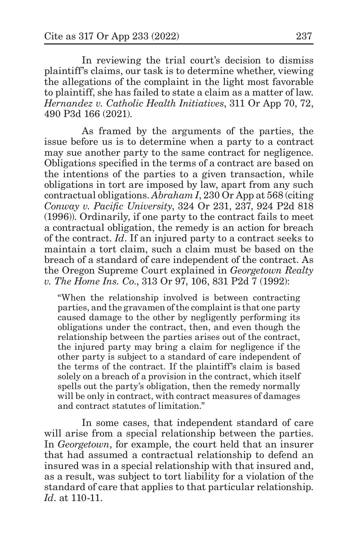In reviewing the trial court's decision to dismiss plaintiff's claims, our task is to determine whether, viewing the allegations of the complaint in the light most favorable to plaintiff, she has failed to state a claim as a matter of law. *Hernandez v. Catholic Health Initiatives*, 311 Or App 70, 72, 490 P3d 166 (2021).

As framed by the arguments of the parties, the issue before us is to determine when a party to a contract may sue another party to the same contract for negligence. Obligations specified in the terms of a contract are based on the intentions of the parties to a given transaction, while obligations in tort are imposed by law, apart from any such contractual obligations. *Abraham I*, 230 Or App at 568 (citing *Conway v. Pacific University*, 324 Or 231, 237, 924 P2d 818 (1996)). Ordinarily, if one party to the contract fails to meet a contractual obligation, the remedy is an action for breach of the contract. *Id*. If an injured party to a contract seeks to maintain a tort claim, such a claim must be based on the breach of a standard of care independent of the contract. As the Oregon Supreme Court explained in *Georgetown Realty v. The Home Ins. Co*., 313 Or 97, 106, 831 P2d 7 (1992):

"When the relationship involved is between contracting parties, and the gravamen of the complaint is that one party caused damage to the other by negligently performing its obligations under the contract, then, and even though the relationship between the parties arises out of the contract, the injured party may bring a claim for negligence if the other party is subject to a standard of care independent of the terms of the contract. If the plaintiff's claim is based solely on a breach of a provision in the contract, which itself spells out the party's obligation, then the remedy normally will be only in contract, with contract measures of damages and contract statutes of limitation."

In some cases, that independent standard of care will arise from a special relationship between the parties. In *Georgetown*, for example, the court held that an insurer that had assumed a contractual relationship to defend an insured was in a special relationship with that insured and, as a result, was subject to tort liability for a violation of the standard of care that applies to that particular relationship. *Id*. at 110-11.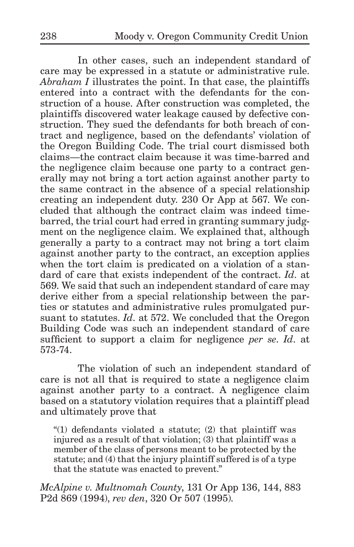In other cases, such an independent standard of care may be expressed in a statute or administrative rule. *Abraham I* illustrates the point. In that case, the plaintiffs entered into a contract with the defendants for the construction of a house. After construction was completed, the plaintiffs discovered water leakage caused by defective construction. They sued the defendants for both breach of contract and negligence, based on the defendants' violation of the Oregon Building Code. The trial court dismissed both claims—the contract claim because it was time-barred and the negligence claim because one party to a contract generally may not bring a tort action against another party to the same contract in the absence of a special relationship creating an independent duty. 230 Or App at 567. We concluded that although the contract claim was indeed timebarred, the trial court had erred in granting summary judgment on the negligence claim. We explained that, although generally a party to a contract may not bring a tort claim against another party to the contract, an exception applies when the tort claim is predicated on a violation of a standard of care that exists independent of the contract. *Id*. at 569. We said that such an independent standard of care may derive either from a special relationship between the parties or statutes and administrative rules promulgated pursuant to statutes. *Id*. at 572. We concluded that the Oregon Building Code was such an independent standard of care sufficient to support a claim for negligence *per se*. *Id*. at 573-74.

The violation of such an independent standard of care is not all that is required to state a negligence claim against another party to a contract. A negligence claim based on a statutory violation requires that a plaintiff plead and ultimately prove that

"(1) defendants violated a statute; (2) that plaintiff was injured as a result of that violation; (3) that plaintiff was a member of the class of persons meant to be protected by the statute; and (4) that the injury plaintiff suffered is of a type that the statute was enacted to prevent."

*McAlpine v. Multnomah County*, 131 Or App 136, 144, 883 P2d 869 (1994), *rev den*, 320 Or 507 (1995).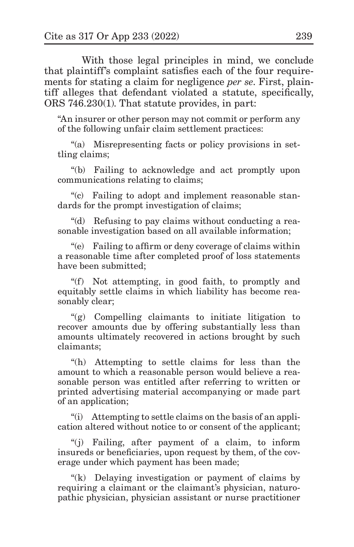With those legal principles in mind, we conclude that plaintiff's complaint satisfies each of the four requirements for stating a claim for negligence *per se*. First, plaintiff alleges that defendant violated a statute, specifically, ORS 746.230(1). That statute provides, in part:

"An insurer or other person may not commit or perform any of the following unfair claim settlement practices:

"(a) Misrepresenting facts or policy provisions in settling claims;

"(b) Failing to acknowledge and act promptly upon communications relating to claims;

"(c) Failing to adopt and implement reasonable standards for the prompt investigation of claims;

"(d) Refusing to pay claims without conducting a reasonable investigation based on all available information;

"(e) Failing to affirm or deny coverage of claims within a reasonable time after completed proof of loss statements have been submitted;

"(f) Not attempting, in good faith, to promptly and equitably settle claims in which liability has become reasonably clear;

"(g) Compelling claimants to initiate litigation to recover amounts due by offering substantially less than amounts ultimately recovered in actions brought by such claimants;

"(h) Attempting to settle claims for less than the amount to which a reasonable person would believe a reasonable person was entitled after referring to written or printed advertising material accompanying or made part of an application;

"(i) Attempting to settle claims on the basis of an application altered without notice to or consent of the applicant;

"(j) Failing, after payment of a claim, to inform insureds or beneficiaries, upon request by them, of the coverage under which payment has been made;

"(k) Delaying investigation or payment of claims by requiring a claimant or the claimant's physician, naturopathic physician, physician assistant or nurse practitioner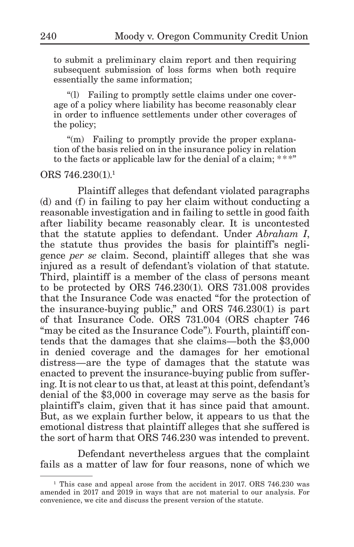to submit a preliminary claim report and then requiring subsequent submission of loss forms when both require essentially the same information;

"(l) Failing to promptly settle claims under one coverage of a policy where liability has become reasonably clear in order to influence settlements under other coverages of the policy;

"(m) Failing to promptly provide the proper explanation of the basis relied on in the insurance policy in relation to the facts or applicable law for the denial of a claim; \*\*\*"

## ORS 746.230(1).<sup>1</sup>

Plaintiff alleges that defendant violated paragraphs (d) and (f) in failing to pay her claim without conducting a reasonable investigation and in failing to settle in good faith after liability became reasonably clear. It is uncontested that the statute applies to defendant. Under *Abraham I*, the statute thus provides the basis for plaintiff's negligence *per se* claim. Second, plaintiff alleges that she was injured as a result of defendant's violation of that statute. Third, plaintiff is a member of the class of persons meant to be protected by ORS 746.230(1). ORS 731.008 provides that the Insurance Code was enacted "for the protection of the insurance-buying public," and ORS 746.230(1) is part of that Insurance Code. ORS 731.004 (ORS chapter 746 "may be cited as the Insurance Code"). Fourth, plaintiff contends that the damages that she claims—both the \$3,000 in denied coverage and the damages for her emotional distress—are the type of damages that the statute was enacted to prevent the insurance-buying public from suffering. It is not clear to us that, at least at this point, defendant's denial of the \$3,000 in coverage may serve as the basis for plaintiff's claim, given that it has since paid that amount. But, as we explain further below, it appears to us that the emotional distress that plaintiff alleges that she suffered is the sort of harm that ORS 746.230 was intended to prevent.

Defendant nevertheless argues that the complaint fails as a matter of law for four reasons, none of which we

<sup>&</sup>lt;sup>1</sup> This case and appeal arose from the accident in 2017. ORS 746.230 was amended in 2017 and 2019 in ways that are not material to our analysis. For convenience, we cite and discuss the present version of the statute.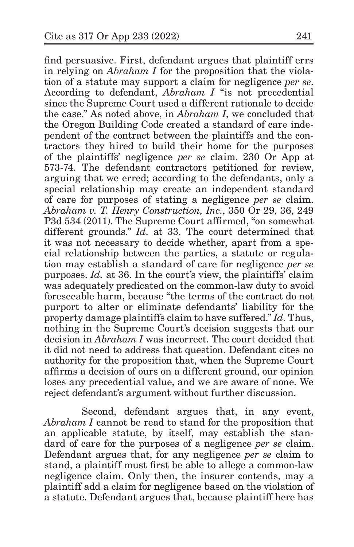find persuasive. First, defendant argues that plaintiff errs in relying on *Abraham I* for the proposition that the violation of a statute may support a claim for negligence *per se*. According to defendant, *Abraham I* "is not precedential since the Supreme Court used a different rationale to decide the case." As noted above, in *Abraham I*, we concluded that the Oregon Building Code created a standard of care independent of the contract between the plaintiffs and the contractors they hired to build their home for the purposes of the plaintiffs' negligence *per se* claim. 230 Or App at 573-74. The defendant contractors petitioned for review, arguing that we erred; according to the defendants, only a special relationship may create an independent standard of care for purposes of stating a negligence *per se* claim. *Abraham v. T. Henry Construction, Inc.*, 350 Or 29, 36, 249 P3d 534 (2011). The Supreme Court affirmed, "on somewhat different grounds." *Id*. at 33. The court determined that it was not necessary to decide whether, apart from a special relationship between the parties, a statute or regulation may establish a standard of care for negligence *per se* purposes. *Id.* at 36. In the court's view, the plaintiffs' claim was adequately predicated on the common-law duty to avoid foreseeable harm, because "the terms of the contract do not purport to alter or eliminate defendants' liability for the property damage plaintiffs claim to have suffered." *Id*. Thus, nothing in the Supreme Court's decision suggests that our decision in *Abraham I* was incorrect. The court decided that it did not need to address that question. Defendant cites no authority for the proposition that, when the Supreme Court affirms a decision of ours on a different ground, our opinion loses any precedential value, and we are aware of none. We reject defendant's argument without further discussion.

Second, defendant argues that, in any event, *Abraham I* cannot be read to stand for the proposition that an applicable statute, by itself, may establish the standard of care for the purposes of a negligence *per se* claim. Defendant argues that, for any negligence *per se* claim to stand, a plaintiff must first be able to allege a common-law negligence claim. Only then, the insurer contends, may a plaintiff add a claim for negligence based on the violation of a statute. Defendant argues that, because plaintiff here has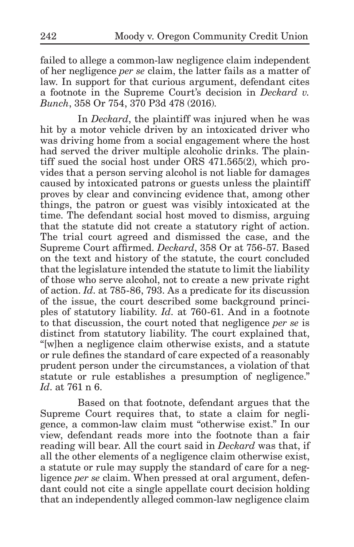failed to allege a common-law negligence claim independent of her negligence *per se* claim, the latter fails as a matter of law. In support for that curious argument, defendant cites a footnote in the Supreme Court's decision in *Deckard v. Bunch*, 358 Or 754, 370 P3d 478 (2016).

In *Deckard*, the plaintiff was injured when he was hit by a motor vehicle driven by an intoxicated driver who was driving home from a social engagement where the host had served the driver multiple alcoholic drinks. The plaintiff sued the social host under ORS 471.565(2), which provides that a person serving alcohol is not liable for damages caused by intoxicated patrons or guests unless the plaintiff proves by clear and convincing evidence that, among other things, the patron or guest was visibly intoxicated at the time. The defendant social host moved to dismiss, arguing that the statute did not create a statutory right of action. The trial court agreed and dismissed the case, and the Supreme Court affirmed. *Deckard*, 358 Or at 756-57. Based on the text and history of the statute, the court concluded that the legislature intended the statute to limit the liability of those who serve alcohol, not to create a new private right of action. *Id*. at 785-86, 793. As a predicate for its discussion of the issue, the court described some background principles of statutory liability. *Id*. at 760-61. And in a footnote to that discussion, the court noted that negligence *per se* is distinct from statutory liability. The court explained that, "[w]hen a negligence claim otherwise exists, and a statute or rule defines the standard of care expected of a reasonably prudent person under the circumstances, a violation of that statute or rule establishes a presumption of negligence." *Id*. at 761 n 6.

Based on that footnote, defendant argues that the Supreme Court requires that, to state a claim for negligence, a common-law claim must "otherwise exist." In our view, defendant reads more into the footnote than a fair reading will bear. All the court said in *Deckard* was that, if all the other elements of a negligence claim otherwise exist, a statute or rule may supply the standard of care for a negligence *per se* claim. When pressed at oral argument, defendant could not cite a single appellate court decision holding that an independently alleged common-law negligence claim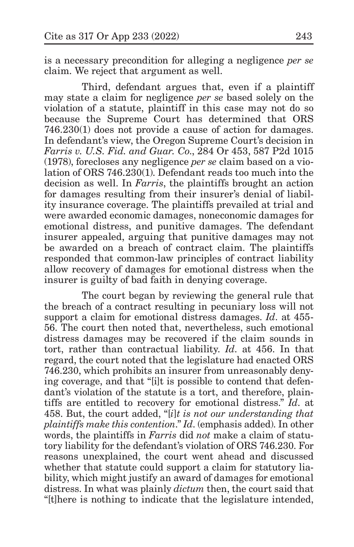is a necessary precondition for alleging a negligence *per se* claim. We reject that argument as well.

Third, defendant argues that, even if a plaintiff may state a claim for negligence *per se* based solely on the violation of a statute, plaintiff in this case may not do so because the Supreme Court has determined that ORS 746.230(1) does not provide a cause of action for damages. In defendant's view, the Oregon Supreme Court's decision in *Farris v. U.S. Fid. and Guar. Co*., 284 Or 453, 587 P2d 1015 (1978), forecloses any negligence *per se* claim based on a violation of ORS 746.230(1). Defendant reads too much into the decision as well. In *Farris*, the plaintiffs brought an action for damages resulting from their insurer's denial of liability insurance coverage. The plaintiffs prevailed at trial and were awarded economic damages, noneconomic damages for emotional distress, and punitive damages. The defendant insurer appealed, arguing that punitive damages may not be awarded on a breach of contract claim. The plaintiffs responded that common-law principles of contract liability allow recovery of damages for emotional distress when the insurer is guilty of bad faith in denying coverage.

The court began by reviewing the general rule that the breach of a contract resulting in pecuniary loss will not support a claim for emotional distress damages. *Id*. at 455- 56. The court then noted that, nevertheless, such emotional distress damages may be recovered if the claim sounds in tort, rather than contractual liability. *Id*. at 456. In that regard, the court noted that the legislature had enacted ORS 746.230, which prohibits an insurer from unreasonably denying coverage, and that "[i]t is possible to contend that defendant's violation of the statute is a tort, and therefore, plaintiffs are entitled to recovery for emotional distress." *Id*. at 458. But, the court added, "[*i*]*t is not our understanding that plaintiffs make this contention*." *Id*. (emphasis added). In other words, the plaintiffs in *Farris* did *not* make a claim of statutory liability for the defendant's violation of ORS 746.230. For reasons unexplained, the court went ahead and discussed whether that statute could support a claim for statutory liability, which might justify an award of damages for emotional distress. In what was plainly *dictum* then, the court said that "[t]here is nothing to indicate that the legislature intended,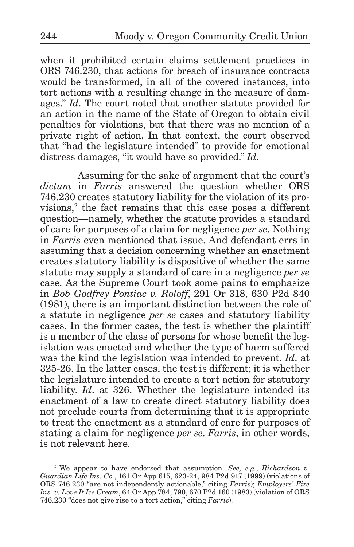when it prohibited certain claims settlement practices in ORS 746.230, that actions for breach of insurance contracts would be transformed, in all of the covered instances, into tort actions with a resulting change in the measure of damages." *Id*. The court noted that another statute provided for an action in the name of the State of Oregon to obtain civil penalties for violations, but that there was no mention of a private right of action. In that context, the court observed that "had the legislature intended" to provide for emotional distress damages, "it would have so provided." *Id*.

Assuming for the sake of argument that the court's *dictum* in *Farris* answered the question whether ORS 746.230 creates statutory liability for the violation of its provisions,<sup>2</sup> the fact remains that this case poses a different question—namely, whether the statute provides a standard of care for purposes of a claim for negligence *per se*. Nothing in *Farris* even mentioned that issue. And defendant errs in assuming that a decision concerning whether an enactment creates statutory liability is dispositive of whether the same statute may supply a standard of care in a negligence *per se* case. As the Supreme Court took some pains to emphasize in *Bob Godfrey Pontiac v. Roloff*, 291 Or 318, 630 P2d 840 (1981), there is an important distinction between the role of a statute in negligence *per se* cases and statutory liability cases. In the former cases, the test is whether the plaintiff is a member of the class of persons for whose benefit the legislation was enacted and whether the type of harm suffered was the kind the legislation was intended to prevent. *Id*. at 325-26. In the latter cases, the test is different; it is whether the legislature intended to create a tort action for statutory liability. *Id*. at 326. Whether the legislature intended its enactment of a law to create direct statutory liability does not preclude courts from determining that it is appropriate to treat the enactment as a standard of care for purposes of stating a claim for negligence *per se*. *Farris*, in other words, is not relevant here.

<sup>2</sup> We appear to have endorsed that assumption. *See, e.g.*, *Richardson v. Guardian Life Ins. Co.*, 161 Or App 615, 623-24, 984 P2d 917 (1999) (violations of ORS 746.230 "are not independently actionable," citing *Farris*); *Employers' Fire Ins. v. Love It Ice Cream*, 64 Or App 784, 790, 670 P2d 160 (1983) (violation of ORS 746.230 "does not give rise to a tort action," citing *Farris*).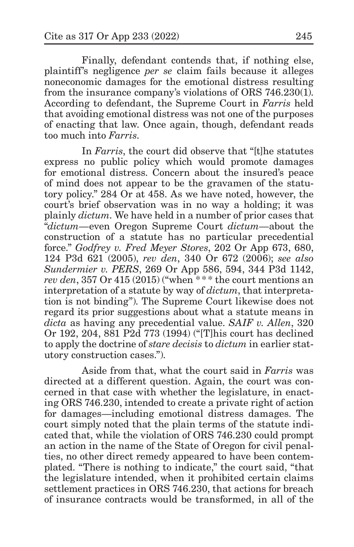Finally, defendant contends that, if nothing else, plaintiff's negligence *per se* claim fails because it alleges noneconomic damages for the emotional distress resulting from the insurance company's violations of ORS 746.230(1). According to defendant, the Supreme Court in *Farris* held that avoiding emotional distress was not one of the purposes of enacting that law. Once again, though, defendant reads too much into *Farris*.

In *Farris*, the court did observe that "[t]he statutes express no public policy which would promote damages for emotional distress. Concern about the insured's peace of mind does not appear to be the gravamen of the statutory policy." 284 Or at 458. As we have noted, however, the court's brief observation was in no way a holding; it was plainly *dictum*. We have held in a number of prior cases that "*dictum*—even Oregon Supreme Court *dictum*—about the construction of a statute has no particular precedential force." *Godfrey v. Fred Meyer Stores*, 202 Or App 673, 680, 124 P3d 621 (2005), *rev den*, 340 Or 672 (2006); *see also Sundermier v. PERS*, 269 Or App 586, 594, 344 P3d 1142, *rev den*, 357 Or 415 (2015) ("when \*\*\* the court mentions an interpretation of a statute by way of *dictum*, that interpretation is not binding"). The Supreme Court likewise does not regard its prior suggestions about what a statute means in *dicta* as having any precedential value. *SAIF v. Allen*, 320 Or 192, 204, 881 P2d 773 (1994) ("[T]his court has declined to apply the doctrine of *stare decisis* to *dictum* in earlier statutory construction cases.").

Aside from that, what the court said in *Farris* was directed at a different question. Again, the court was concerned in that case with whether the legislature, in enacting ORS 746.230, intended to create a private right of action for damages—including emotional distress damages. The court simply noted that the plain terms of the statute indicated that, while the violation of ORS 746.230 could prompt an action in the name of the State of Oregon for civil penalties, no other direct remedy appeared to have been contemplated. "There is nothing to indicate," the court said, "that the legislature intended, when it prohibited certain claims settlement practices in ORS 746.230, that actions for breach of insurance contracts would be transformed, in all of the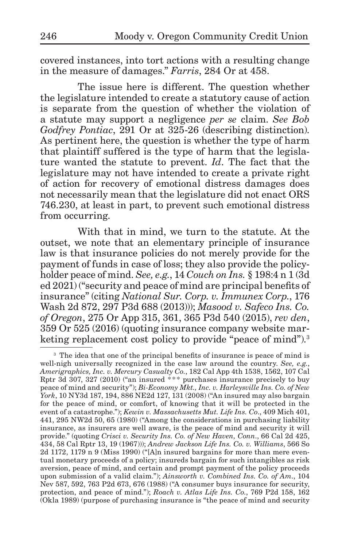covered instances, into tort actions with a resulting change in the measure of damages." *Farris*, 284 Or at 458.

The issue here is different. The question whether the legislature intended to create a statutory cause of action is separate from the question of whether the violation of a statute may support a negligence *per se* claim. *See Bob Godfrey Pontiac*, 291 Or at 325-26 (describing distinction). As pertinent here, the question is whether the type of harm that plaintiff suffered is the type of harm that the legislature wanted the statute to prevent. *Id*. The fact that the legislature may not have intended to create a private right of action for recovery of emotional distress damages does not necessarily mean that the legislature did not enact ORS 746.230, at least in part, to prevent such emotional distress from occurring.

With that in mind, we turn to the statute. At the outset, we note that an elementary principle of insurance law is that insurance policies do not merely provide for the payment of funds in case of loss; they also provide the policyholder peace of mind. *See, e.g.*, 14 *Couch on Ins.* § 198:4 n 1 (3d ed 2021) ("security and peace of mind are principal benefits of insurance" (citing *National Sur. Corp. v. Immunex Corp.*, 176 Wash 2d 872, 297 P3d 688 (2013))); *Masood v. Safeco Ins. Co. of Oregon*, 275 Or App 315, 361, 365 P3d 540 (2015), *rev den*, 359 Or 525 (2016) (quoting insurance company website marketing replacement cost policy to provide "peace of mind").<sup>3</sup>

<sup>&</sup>lt;sup>3</sup> The idea that one of the principal benefits of insurance is peace of mind is well-nigh universally recognized in the case law around the country. *See, e.g.*, *Amerigraphics, Inc. v. Mercury Casualty Co.*, 182 Cal App 4th 1538, 1562, 107 Cal Rptr 3d 307, 327 (2010) ("an insured \* \*\* purchases insurance precisely to buy peace of mind and security"); *Bi-Economy Mkt., Inc. v. Harleysville Ins. Co. of New York*, 10 NY3d 187, 194, 886 NE2d 127, 131 (2008) ("An insured may also bargain for the peace of mind, or comfort, of knowing that it will be protected in the event of a catastrophe."); *Kewin v. Massachusetts Mut. Life Ins. Co*., 409 Mich 401, 441, 295 NW2d 50, 65 (1980) ("Among the considerations in purchasing liability insurance, as insurers are well aware, is the peace of mind and security it will provide." (quoting *Crisci v. Security Ins. Co. of New Haven, Conn*., 66 Cal 2d 425, 434, 58 Cal Rptr 13, 19 (1967))); *Andrew Jackson Life Ins. Co. v. Williams*, 566 So 2d 1172, 1179 n 9 (Miss 1990) ("[A]n insured bargains for more than mere eventual monetary proceeds of a policy; insureds bargain for such intangibles as risk aversion, peace of mind, and certain and prompt payment of the policy proceeds upon submission of a valid claim."); *Ainsworth v. Combined Ins. Co. of Am*., 104 Nev 587, 592, 763 P2d 673, 676 (1988) ("A consumer buys insurance for security, protection, and peace of mind."); *Roach v. Atlas Life Ins. Co.*, 769 P2d 158, 162 (Okla 1989) (purpose of purchasing insurance is "the peace of mind and security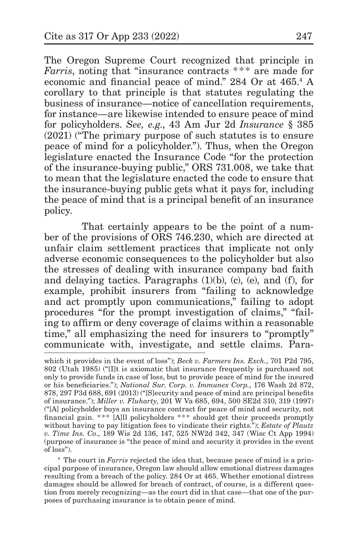The Oregon Supreme Court recognized that principle in *Farris*, noting that "insurance contracts \*\*\* are made for economic and financial peace of mind." 284 Or at 465.<sup>4</sup> A corollary to that principle is that statutes regulating the business of insurance—notice of cancellation requirements, for instance—are likewise intended to ensure peace of mind for policyholders. *See, e.g*., 43 Am Jur 2d *Insurance* § 385 (2021) ("The primary purpose of such statutes is to ensure peace of mind for a policyholder."). Thus, when the Oregon legislature enacted the Insurance Code "for the protection of the insurance-buying public," ORS 731.008, we take that to mean that the legislature enacted the code to ensure that the insurance-buying public gets what it pays for, including the peace of mind that is a principal benefit of an insurance policy.

That certainly appears to be the point of a number of the provisions of ORS 746.230, which are directed at unfair claim settlement practices that implicate not only adverse economic consequences to the policyholder but also the stresses of dealing with insurance company bad faith and delaying tactics. Paragraphs  $(1)(b)$ ,  $(c)$ ,  $(e)$ , and  $(f)$ , for example, prohibit insurers from "failing to acknowledge and act promptly upon communications," failing to adopt procedures "for the prompt investigation of claims," "failing to affirm or deny coverage of claims within a reasonable time," all emphasizing the need for insurers to "promptly" communicate with, investigate, and settle claims. Para-

<sup>4</sup> The court in *Farris* rejected the idea that, because peace of mind is a principal purpose of insurance, Oregon law should allow emotional distress damages resulting from a breach of the policy. 284 Or at 465. Whether emotional distress damages should be allowed for breach of contract, of course, is a different question from merely recognizing—as the court did in that case—that one of the purposes of purchasing insurance is to obtain peace of mind.

which it provides in the event of loss"); *Beck v. Farmers Ins. Exch.*, 701 P2d 795, 802 (Utah 1985) ("[I]t is axiomatic that insurance frequently is purchased not only to provide funds in case of loss, but to provide peace of mind for the insured or his beneficiaries."); *National Sur. Corp. v. Immunex Corp.*, 176 Wash 2d 872, 878, 297 P3d 688, 691 (2013) ("[S]ecurity and peace of mind are principal benefits of insurance."); *Miller v. Fluharty*, 201 W Va 685, 694, 500 SE2d 310, 319 (1997) ("[A] policyholder buys an insurance contract for peace of mind and security, not financial gain. \*\*\* [A]ll policyholders \*\*\* should get their proceeds promptly without having to pay litigation fees to vindicate their rights."); *Estate of Plautz v. Time Ins. Co*., 189 Wis 2d 136, 147, 525 NW2d 342, 347 (Wisc Ct App 1994) (purpose of insurance is "the peace of mind and security it provides in the event of loss").